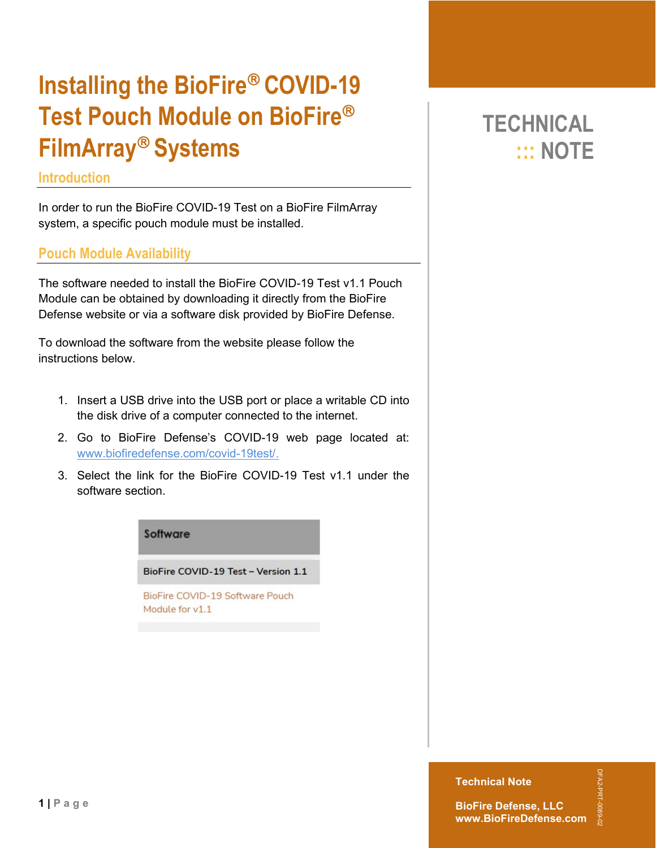# **Installing the BioFire<sup>®</sup> COVID-19 Test Pouch Module on BioFire FilmArray Systems**

### **Introduction**

**1 | Page**

In order to run the BioFire COVID-19 Test on a BioFire FilmArray system, a specific pouch module must be installed.

### **Pouch Module Availability**

The software needed to install the BioFire COVID-19 Test v1.1 Pouch Module can be obtained by downloading it directly from the BioFire Defense website or via a software disk provided by BioFire Defense.

To download the software from the website please follow the instructions below.

- 1. Insert a USB drive into the USB port or place a writable CD into the disk drive of a computer connected to the internet.
- 2. Go to BioFire Defense's COVID-19 web page located at: [www.biofiredefense.com/covid-19test/.](http://www.biofiredefense.com/covid-19test/)
- 3. Select the link for the BioFire COVID-19 Test v1.1 under the software section.

#### Software

BioFire COVID-19 Test - Version 1.1

BioFire COVID-19 Software Pouch Module for v1.1

## **TECHNICAL ::: NOTE**

**Technical Note**

DFA2-PRT-0089-02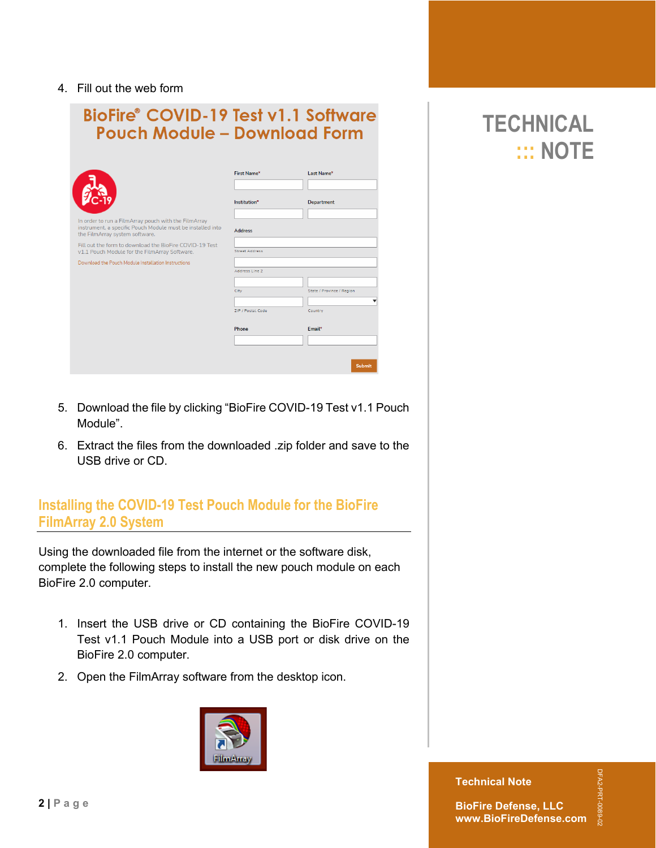#### 4. Fill out the web form

| <b>BioFire® COVID-19 Test v1.1 Software</b><br><b>Pouch Module - Download Form</b>                                                                   |                            |                           |
|------------------------------------------------------------------------------------------------------------------------------------------------------|----------------------------|---------------------------|
|                                                                                                                                                      | First Name*                | Last Name*                |
|                                                                                                                                                      | Institution*               | <b>Department</b>         |
| In order to run a FilmArray pouch with the FilmArray<br>instrument, a specific Pouch Module must be installed into<br>the FilmArray system software. | <b>Address</b>             |                           |
| Fill out the form to download the BioFire COVID-19 Test<br>v1.1 Pouch Module for the FilmArray Software.                                             | <b>Street Address</b>      |                           |
| Download the Pouch Module Installation Instructions                                                                                                  | Address Line 2<br>City     | State / Province / Region |
|                                                                                                                                                      | ZIP / Postal Code<br>Phone | Country<br>Email*         |
|                                                                                                                                                      |                            | Submit                    |

- 5. Download the file by clicking "BioFire COVID-19 Test v1.1 Pouch Module".
- 6. Extract the files from the downloaded .zip folder and save to the USB drive or CD.

### **Installing the COVID-19 Test Pouch Module for the BioFire FilmArray 2.0 System**

Using the downloaded file from the internet or the software disk, complete the following steps to install the new pouch module on each BioFire 2.0 computer.

- 1. Insert the USB drive or CD containing the BioFire COVID-19 Test v1.1 Pouch Module into a USB port or disk drive on the BioFire 2.0 computer.
- 2. Open the FilmArray software from the desktop icon.



**TECHNICAL ::: NOTE**

**Technical Note**

**BioFire Defense, LLC www.BioFireDefense.com** DFA2-PRT-0089-02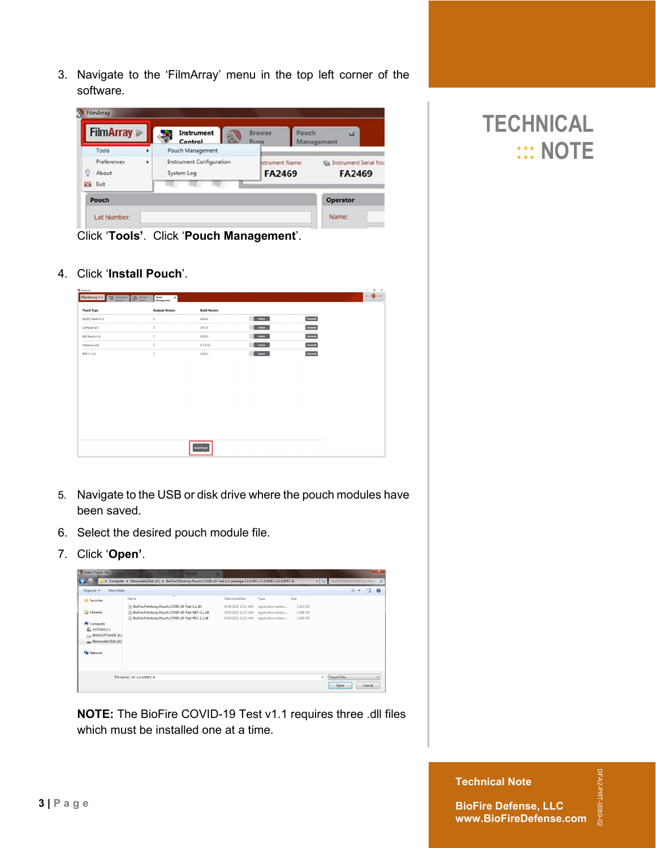3. Navigate to the 'FilmArray' menu in the top left corner of the software.

|                |                           | Control                                | B.<br>Runs |                                         | Management                                |
|----------------|---------------------------|----------------------------------------|------------|-----------------------------------------|-------------------------------------------|
|                | Tools<br>٠                | Pouch Management                       |            |                                         |                                           |
| g              | Preferences<br>٠<br>About | Instrument Configuration<br>System Log |            | <b>Istrument Name:</b><br><b>FA2469</b> | Ga Instrument Serial No:<br><b>FA2469</b> |
| <b>ES</b> Exit |                           |                                        |            |                                         |                                           |
|                | Pouch                     |                                        |            |                                         | <b>Operator</b>                           |

Click '**Tools'**. Click '**Pouch Management**'.

4. Click '**Install Pouch**'.

| <sup>9</sup> Finding®<br>FilmArray®<br>Control | Strows Control Control<br>Pouch<br>$\alpha$<br>Management |                      |        |           | $\sigma$<br>$\times$<br>i.<br>$\begin{picture}(20,20) \put(0,0){\line(1,0){10}} \put(15,0){\line(1,0){10}} \put(15,0){\line(1,0){10}} \put(15,0){\line(1,0){10}} \put(15,0){\line(1,0){10}} \put(15,0){\line(1,0){10}} \put(15,0){\line(1,0){10}} \put(15,0){\line(1,0){10}} \put(15,0){\line(1,0){10}} \put(15,0){\line(1,0){10}} \put(15,0){\line(1,0){10}} \put(15,0){\line(1$ |
|------------------------------------------------|-----------------------------------------------------------|----------------------|--------|-----------|-----------------------------------------------------------------------------------------------------------------------------------------------------------------------------------------------------------------------------------------------------------------------------------------------------------------------------------------------------------------------------------|
| Pouch Type                                     | <b>Analysis Version</b>                                   | <b>Build Version</b> |        |           |                                                                                                                                                                                                                                                                                                                                                                                   |
| BCID2 Panel v1.0                               | $\mathsf{C}$                                              | 2.0.3.2              | Active | Uninotell |                                                                                                                                                                                                                                                                                                                                                                                   |
| GI Panel v2.1                                  | $\,c\,$                                                   | 2.0.1.2              | Active | Uninstall |                                                                                                                                                                                                                                                                                                                                                                                   |
| ME Panel v1.4                                  | $\subset$                                                 | 2.0.6.3              | Active | Uninstall |                                                                                                                                                                                                                                                                                                                                                                                   |
| Pneumo v2.0                                    | $\subset$                                                 | 2.1.3.12             | Active | Uninstall |                                                                                                                                                                                                                                                                                                                                                                                   |
| RP2.1 v1.0                                     | $\subset$                                                 | 2.0.0.5              | Active | Uninstall |                                                                                                                                                                                                                                                                                                                                                                                   |
|                                                |                                                           |                      |        |           |                                                                                                                                                                                                                                                                                                                                                                                   |
|                                                |                                                           | <b>Install Pouch</b> |        |           |                                                                                                                                                                                                                                                                                                                                                                                   |

- 5. Navigate to the USB or disk drive where the pouch modules have been saved.
- 6. Select the desired pouch module file.
- 7. Click '**Open'**.

| Select Pouch File        |                                                                                                                      |                    |                    |          |                           |                                 |     |        | x            |
|--------------------------|----------------------------------------------------------------------------------------------------------------------|--------------------|--------------------|----------|---------------------------|---------------------------------|-----|--------|--------------|
| New folder<br>Organize - | Computer ▶ Removable Disk (G:) ▶ BioFire.FilmArray.Pouch.COVID-19-Test-1.1-package-2.1.0.10C-2.1.0.8NEC-2.1.0.8PEC-8 |                    |                    |          | $\mathbf{v}$ $\mathbf{v}$ | Search BioFire.FilmArray.Pouc p | 年 ÷ | гm     | $\mathbf{a}$ |
| <b>X</b> Favorites       | ×<br>Name                                                                                                            | Date modified      | Type               | Size     |                           |                                 |     |        |              |
|                          | 8 BioFire.FilmArray.Pouch.COVID-19-Test-1.1.dll                                                                      | 9/16/2021 11:11 AM | Application extens | 1,833 KB |                           |                                 |     |        |              |
| Libraries                | 8 BioFire.FilmArray.Pouch.COVID-19-Test-NEC-1.1.dll                                                                  | 9/16/2021 11:11 AM | Application extens | 1,848 KB |                           |                                 |     |        |              |
|                          | 8 BioFire.FilmArray.Pouch.COVID-19-Test-PEC-1.1.dll                                                                  | 9/16/2021 11:11 AM | Application extens | 1.800 KB |                           |                                 |     |        |              |
| Computer                 |                                                                                                                      |                    |                    |          |                           |                                 |     |        |              |
| SYSTEM (C:)              |                                                                                                                      |                    |                    |          |                           |                                 |     |        |              |
| BMXSOFTWARE (D:)         |                                                                                                                      |                    |                    |          |                           |                                 |     |        |              |
| Removable Disk (G:)      |                                                                                                                      |                    |                    |          |                           |                                 |     |        |              |
| <b>Call Network</b>      |                                                                                                                      |                    |                    |          |                           |                                 |     |        |              |
|                          | File name: EC-21.0.8PEC-8                                                                                            |                    |                    |          | ۰                         | <b>Pouch Files</b>              |     |        | ۰            |
|                          |                                                                                                                      |                    |                    |          |                           | Open                            |     | Cancel |              |

**NOTE:** The BioFire COVID-19 Test v1.1 requires three .dll files which must be installed one at a time.

## **TECHNICAL ::: NOTE**

**Technical Note**

DFA2-PRT-0089-02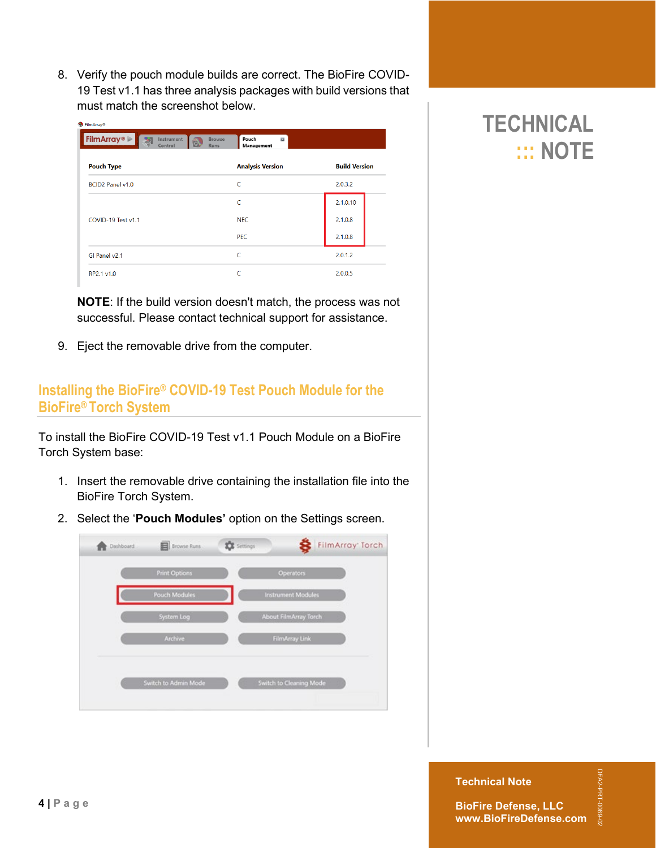8. Verify the pouch module builds are correct. The BioFire COVID-19 Test v1.1 has three analysis packages with build versions that must match the screenshot below.

| <b>FilmArray</b> <sup>®</sup><br>Instrument<br>Control | Pouch<br><b>Browse</b><br>$\overline{\mathbf{z}}$<br>ß.<br><b>Runs</b><br>Management |                      |
|--------------------------------------------------------|--------------------------------------------------------------------------------------|----------------------|
| <b>Pouch Type</b>                                      | <b>Analysis Version</b>                                                              | <b>Build Version</b> |
| BCID2 Panel v1.0                                       | Ċ                                                                                    | 2.0.3.2              |
|                                                        | $\mathsf{C}$                                                                         | 2.1.0.10             |
| COVID-19 Test v1.1                                     | <b>NEC</b>                                                                           | 2.1.0.8              |
|                                                        | <b>PEC</b>                                                                           | 2.1.0.8              |
| GI Panel v2.1                                          | $\epsilon$                                                                           | 2.0.1.2              |
| RP2.1 v1.0                                             |                                                                                      | 2.0.0.5              |

**NOTE**: If the build version doesn't match, the process was not successful. Please contact technical support for assistance.

9. Eject the removable drive from the computer.

## **Installing the BioFire® COVID-19 Test Pouch Module for the BioFire® Torch System**

To install the BioFire COVID-19 Test v1.1 Pouch Module on a BioFire Torch System base:

- 1. Insert the removable drive containing the installation file into the BioFire Torch System.
- 2. Select the '**Pouch Modules'** option on the Settings screen.



## **TECHNICAL ::: NOTE**

**Technical Note**

DFA2-PRT-0089-02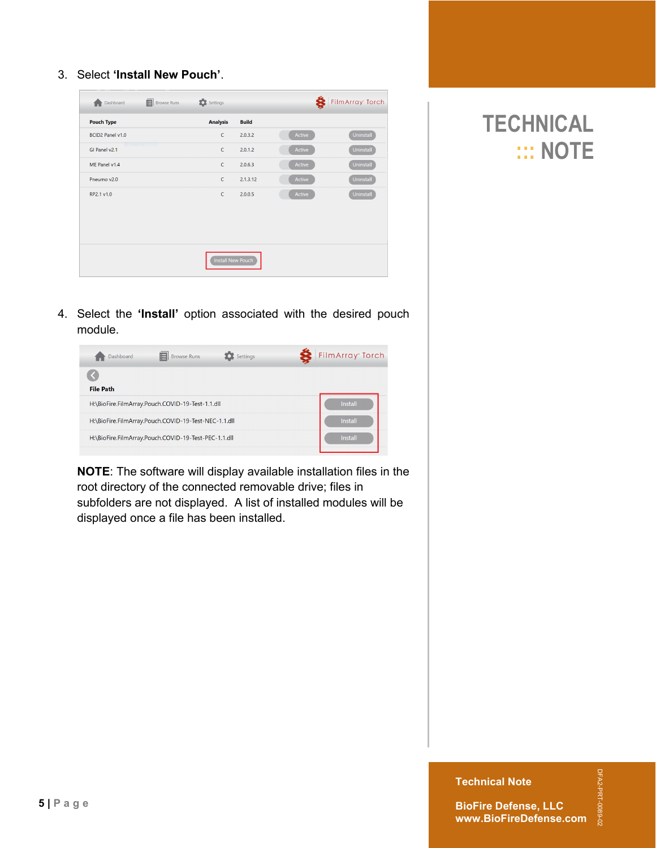3. Select **'Install New Pouch'**.

| 曰<br>Dashboard                            | Settings<br><b>Browse Runs</b> |                   |        | FilmArray Torch |
|-------------------------------------------|--------------------------------|-------------------|--------|-----------------|
| <b>Pouch Type</b>                         | <b>Analysis</b>                | <b>Build</b>      |        |                 |
| BCID2 Panel v1.0                          | $\mathsf{C}$                   | 2.0.3.2           | Active | Uninstall       |
| <b>Committee Service</b><br>GI Panel v2.1 | C                              | 2.0.1.2           | Active | Uninstall       |
| ME Panel v1.4                             | $\mathsf{C}$                   | 2.0.6.3           | Active | Uninstall       |
| Pneumo v2.0                               | $\mathsf{C}$                   | 2.1.3.12          | Active | Uninstall       |
| RP2.1 v1.0                                | $\mathsf{C}$                   | 2.0.0.5           | Active | Uninstall       |
|                                           |                                |                   |        |                 |
|                                           |                                |                   |        |                 |
|                                           |                                |                   |        |                 |
|                                           |                                | Install New Pouch |        |                 |



4. Select the **'Install'** option associated with the desired pouch module.

| <b>Browse Runs</b><br>Settings<br>Dashboard          | FilmArray <sup>+</sup> Torch |
|------------------------------------------------------|------------------------------|
| <b>File Path</b>                                     |                              |
| H:\BioFire.FilmArray.Pouch.COVID-19-Test-1.1.dll     | Install                      |
| H:\BioFire.FilmArray.Pouch.COVID-19-Test-NEC-1.1.dll | Install                      |
| H:\BioFire.FilmArray.Pouch.COVID-19-Test-PEC-1.1.dll | Install                      |

**NOTE**: The software will display available installation files in the root directory of the connected removable drive; files in subfolders are not displayed. A list of installed modules will be displayed once a file has been installed.

**Technical Note**